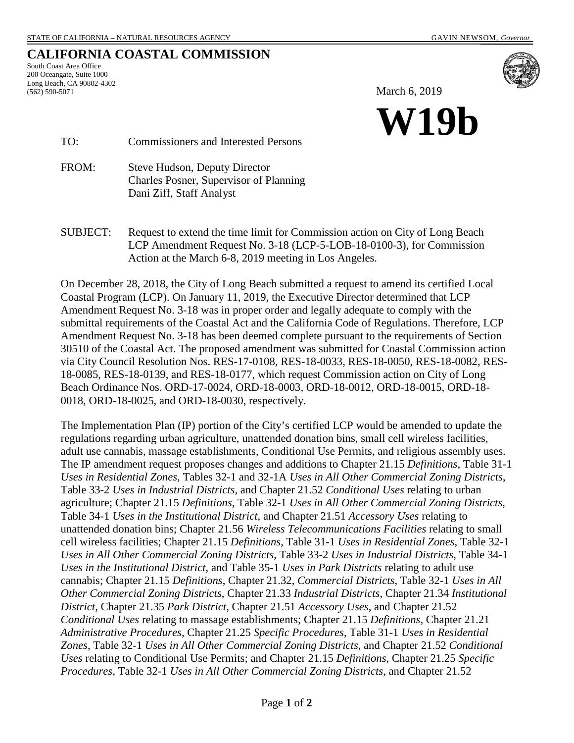# **CALIFORNIA COASTAL COMMISSION**

South Coast Area Office 200 Oceangate, Suite 1000 Long Beach, CA 90802-4302 (562) 590-5071



March 6, 2019



TO: Commissioners and Interested Persons

FROM: Steve Hudson, Deputy Director Charles Posner, Supervisor of Planning Dani Ziff, Staff Analyst

SUBJECT: Request to extend the time limit for Commission action on City of Long Beach LCP Amendment Request No. 3-18 (LCP-5-LOB-18-0100-3), for Commission Action at the March 6-8, 2019 meeting in Los Angeles.

On December 28, 2018, the City of Long Beach submitted a request to amend its certified Local Coastal Program (LCP). On January 11, 2019, the Executive Director determined that LCP Amendment Request No. 3-18 was in proper order and legally adequate to comply with the submittal requirements of the Coastal Act and the California Code of Regulations. Therefore, LCP Amendment Request No. 3-18 has been deemed complete pursuant to the requirements of Section 30510 of the Coastal Act. The proposed amendment was submitted for Coastal Commission action via City Council Resolution Nos. RES-17-0108, RES-18-0033, RES-18-0050, RES-18-0082, RES-18-0085, RES-18-0139, and RES-18-0177, which request Commission action on City of Long Beach Ordinance Nos. ORD-17-0024, ORD-18-0003, ORD-18-0012, ORD-18-0015, ORD-18- 0018, ORD-18-0025, and ORD-18-0030, respectively.

The Implementation Plan (IP) portion of the City's certified LCP would be amended to update the regulations regarding urban agriculture, unattended donation bins, small cell wireless facilities, adult use cannabis, massage establishments, Conditional Use Permits, and religious assembly uses. The IP amendment request proposes changes and additions to Chapter 21.15 *Definitions*, Table 31-1 *Uses in Residential Zones*, Tables 32-1 and 32-1A *Uses in All Other Commercial Zoning Districts*, Table 33-2 *Uses in Industrial Districts*, and Chapter 21.52 *Conditional Uses* relating to urban agriculture; Chapter 21.15 *Definitions*, Table 32-1 *Uses in All Other Commercial Zoning Districts*, Table 34-1 *Uses in the Institutional District*, and Chapter 21.51 *Accessory Uses* relating to unattended donation bins; Chapter 21.56 *Wireless Telecommunications Facilities* relating to small cell wireless facilities; Chapter 21.15 *Definitions*, Table 31-1 *Uses in Residential Zones*, Table 32-1 *Uses in All Other Commercial Zoning Districts*, Table 33-2 *Uses in Industrial Districts*, Table 34-1 *Uses in the Institutional District*, and Table 35-1 *Uses in Park Districts* relating to adult use cannabis; Chapter 21.15 *Definitions*, Chapter 21.32, *Commercial Districts*, Table 32-1 *Uses in All Other Commercial Zoning Districts*, Chapter 21.33 *Industrial Districts*, Chapter 21.34 *Institutional District*, Chapter 21.35 *Park District*, Chapter 21.51 *Accessory Uses*, and Chapter 21.52 *Conditional Uses* relating to massage establishments; Chapter 21.15 *Definitions*, Chapter 21.21 *Administrative Procedures*, Chapter 21.25 *Specific Procedures*, Table 31-1 *Uses in Residential Zones*, Table 32-1 *Uses in All Other Commercial Zoning Districts*, and Chapter 21.52 *Conditional Uses* relating to Conditional Use Permits; and Chapter 21.15 *Definitions*, Chapter 21.25 *Specific Procedures*, Table 32-1 *Uses in All Other Commercial Zoning Districts*, and Chapter 21.52